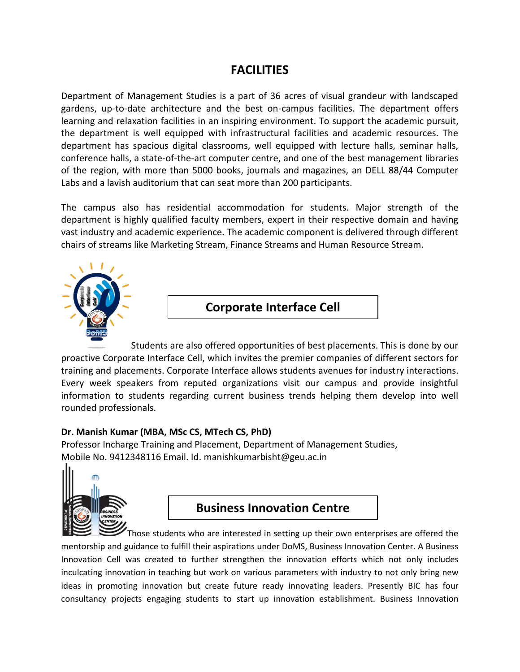## **FACILITIES**

Department of Management Studies is a part of 36 acres of visual grandeur with landscaped gardens, up-to-date architecture and the best on-campus facilities. The department offers learning and relaxation facilities in an inspiring environment. To support the academic pursuit, the department is well equipped with infrastructural facilities and academic resources. The department has spacious digital classrooms, well equipped with lecture halls, seminar halls, conference halls, a state-of-the-art computer centre, and one of the best management libraries of the region, with more than 5000 books, journals and magazines, an DELL 88/44 Computer Labs and a lavish auditorium that can seat more than 200 participants.

The campus also has residential accommodation for students. Major strength of the department is highly qualified faculty members, expert in their respective domain and having vast industry and academic experience. The academic component is delivered through different chairs of streams like Marketing Stream, Finance Streams and Human Resource Stream.



**Corporate Interface Cell**

Students are also offered opportunities of best placements. This is done by our proactive Corporate Interface Cell, which invites the premier companies of different sectors for training and placements. Corporate Interface allows students avenues for industry interactions. Every week speakers from reputed organizations visit our campus and provide insightful information to students regarding current business trends helping them develop into well rounded professionals.

#### **Dr. Manish Kumar (MBA, MSc CS, MTech CS, PhD)**

Professor Incharge Training and Placement, Department of Management Studies, Mobile No. 9412348116 Email. Id. manishkumarbisht@geu.ac.in



## **Business Innovation Centre**

Those students who are interested in setting up their own enterprises are offered the mentorship and guidance to fulfill their aspirations under DoMS, Business Innovation Center. A Business Innovation Cell was created to further strengthen the innovation efforts which not only includes inculcating innovation in teaching but work on various parameters with industry to not only bring new ideas in promoting innovation but create future ready innovating leaders. Presently BIC has four consultancy projects engaging students to start up innovation establishment. Business Innovation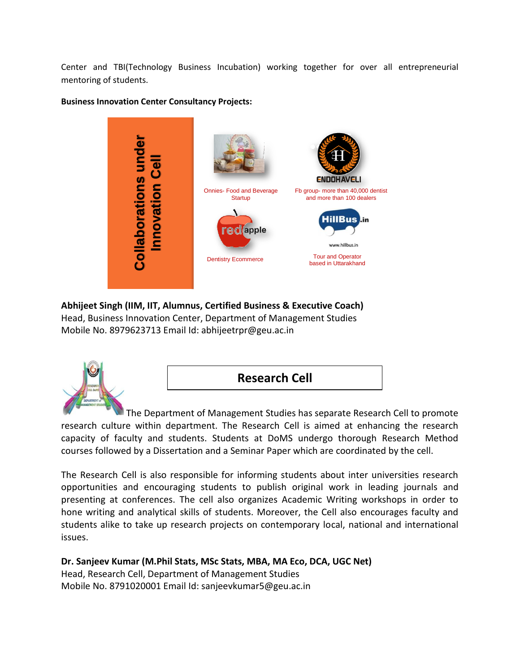Center and TBI(Technology Business Incubation) working together for over all entrepreneurial mentoring of students.



#### **Business Innovation Center Consultancy Projects:**

**Abhijeet Singh (IIM, IIT, Alumnus, Certified Business & Executive Coach)**  Head, Business Innovation Center, Department of Management Studies Mobile No. 8979623713 Email Id: abhijeetrpr@geu.ac.in





The Department of Management Studies has separate Research Cell to promote research culture within department. The Research Cell is aimed at enhancing the research capacity of faculty and students. Students at DoMS undergo thorough Research Method courses followed by a Dissertation and a Seminar Paper which are coordinated by the cell.

The Research Cell is also responsible for informing students about inter universities research opportunities and encouraging students to publish original work in leading journals and presenting at conferences. The cell also organizes Academic Writing workshops in order to hone writing and analytical skills of students. Moreover, the Cell also encourages faculty and students alike to take up research projects on contemporary local, national and international issues.

**Dr. Sanjeev Kumar (M.Phil Stats, MSc Stats, MBA, MA Eco, DCA, UGC Net)**

Head, Research Cell, Department of Management Studies Mobile No. 8791020001 Email Id: sanjeevkumar5@geu.ac.in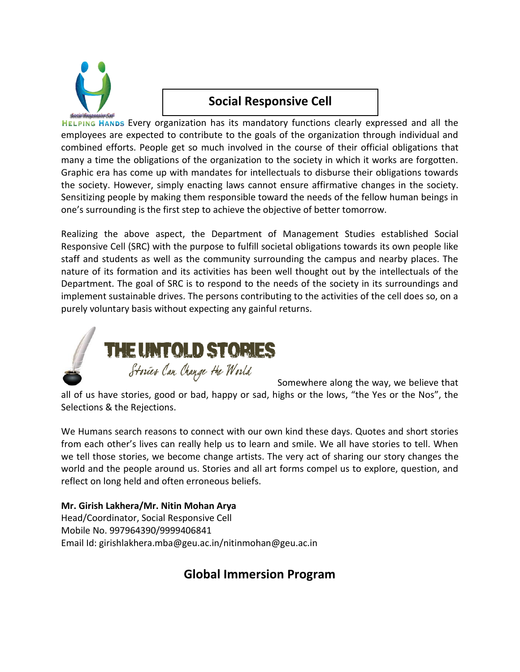

# **Social Responsive Cell**

HELPING HANDS Every organization has its mandatory functions clearly expressed and all the employees are expected to contribute to the goals of the organization through individual and combined efforts. People get so much involved in the course of their official obligations that many a time the obligations of the organization to the society in which it works are forgotten. Graphic era has come up with mandates for intellectuals to disburse their obligations towards the society. However, simply enacting laws cannot ensure affirmative changes in the society. Sensitizing people by making them responsible toward the needs of the fellow human beings in one's surrounding is the first step to achieve the objective of better tomorrow.

Realizing the above aspect, the Department of Management Studies established Social Responsive Cell (SRC) with the purpose to fulfill societal obligations towards its own people like staff and students as well as the community surrounding the campus and nearby places. The nature of its formation and its activities has been well thought out by the intellectuals of the Department. The goal of SRC is to respond to the needs of the society in its surroundings and implement sustainable drives. The persons contributing to the activities of the cell does so, on a purely voluntary basis without expecting any gainful returns.



Somewhere along the way, we believe that all of us have stories, good or bad, happy or sad, highs or the lows, "the Yes or the Nos", the Selections & the Rejections.

We Humans search reasons to connect with our own kind these days. Quotes and short stories from each other's lives can really help us to learn and smile. We all have stories to tell. When we tell those stories, we become change artists. The very act of sharing our story changes the world and the people around us. Stories and all art forms compel us to explore, question, and reflect on long held and often erroneous beliefs.

### **Mr. Girish Lakhera/Mr. Nitin Mohan Arya**

Head/Coordinator, Social Responsive Cell Mobile No. 997964390/9999406841 Email Id: girishlakhera.mba@geu.ac.in/nitinmohan@geu.ac.in

# **Global Immersion Program**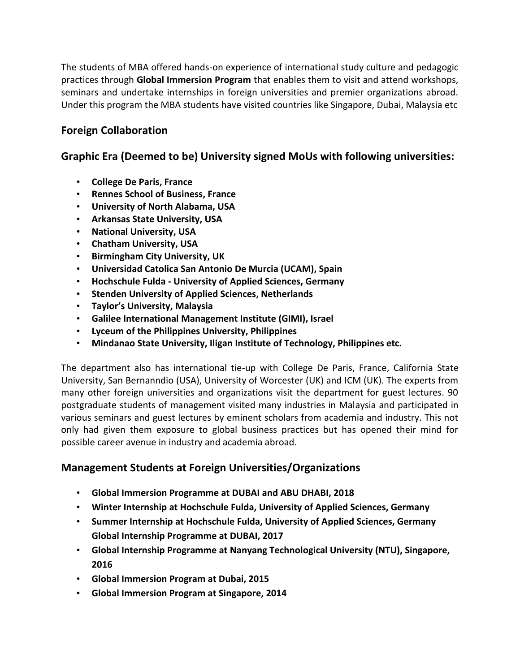The students of MBA offered hands-on experience of international study culture and pedagogic practices through **Global Immersion Program** that enables them to visit and attend workshops, seminars and undertake internships in foreign universities and premier organizations abroad. Under this program the MBA students have visited countries like Singapore, Dubai, Malaysia etc

### **Foreign Collaboration**

### **Graphic Era (Deemed to be) University signed MoUs with following universities:**

- **College De Paris, France**
- **Rennes School of Business, France**
- **University of North Alabama, USA**
- **Arkansas State University, USA**
- **National University, USA**
- **Chatham University, USA**
- **Birmingham City University, UK**
- **Universidad Catolica San Antonio De Murcia (UCAM), Spain**
- **Hochschule Fulda - University of Applied Sciences, Germany**
- **Stenden University of Applied Sciences, Netherlands**
- **Taylor's University, Malaysia**
- **Galilee International Management Institute (GIMI), Israel**
- **Lyceum of the Philippines University, Philippines**
- **Mindanao State University, Iligan Institute of Technology, Philippines etc.**

The department also has international tie-up with College De Paris, France, California State University, San Bernanndio (USA), University of Worcester (UK) and ICM (UK). The experts from many other foreign universities and organizations visit the department for guest lectures. 90 postgraduate students of management visited many industries in Malaysia and participated in various seminars and guest lectures by eminent scholars from academia and industry. This not only had given them exposure to global business practices but has opened their mind for possible career avenue in industry and academia abroad.

### **Management Students at Foreign Universities/Organizations**

- **Global Immersion Programme at DUBAI and ABU DHABI, 2018**
- **Winter Internship at Hochschule Fulda, University of Applied Sciences, Germany**
- **Summer Internship at Hochschule Fulda, University of Applied Sciences, Germany Global Internship Programme at DUBAI, 2017**
- **Global Internship Programme at Nanyang Technological University (NTU), Singapore, 2016**
- **Global Immersion Program at Dubai, 2015**
- **Global Immersion Program at Singapore, 2014**